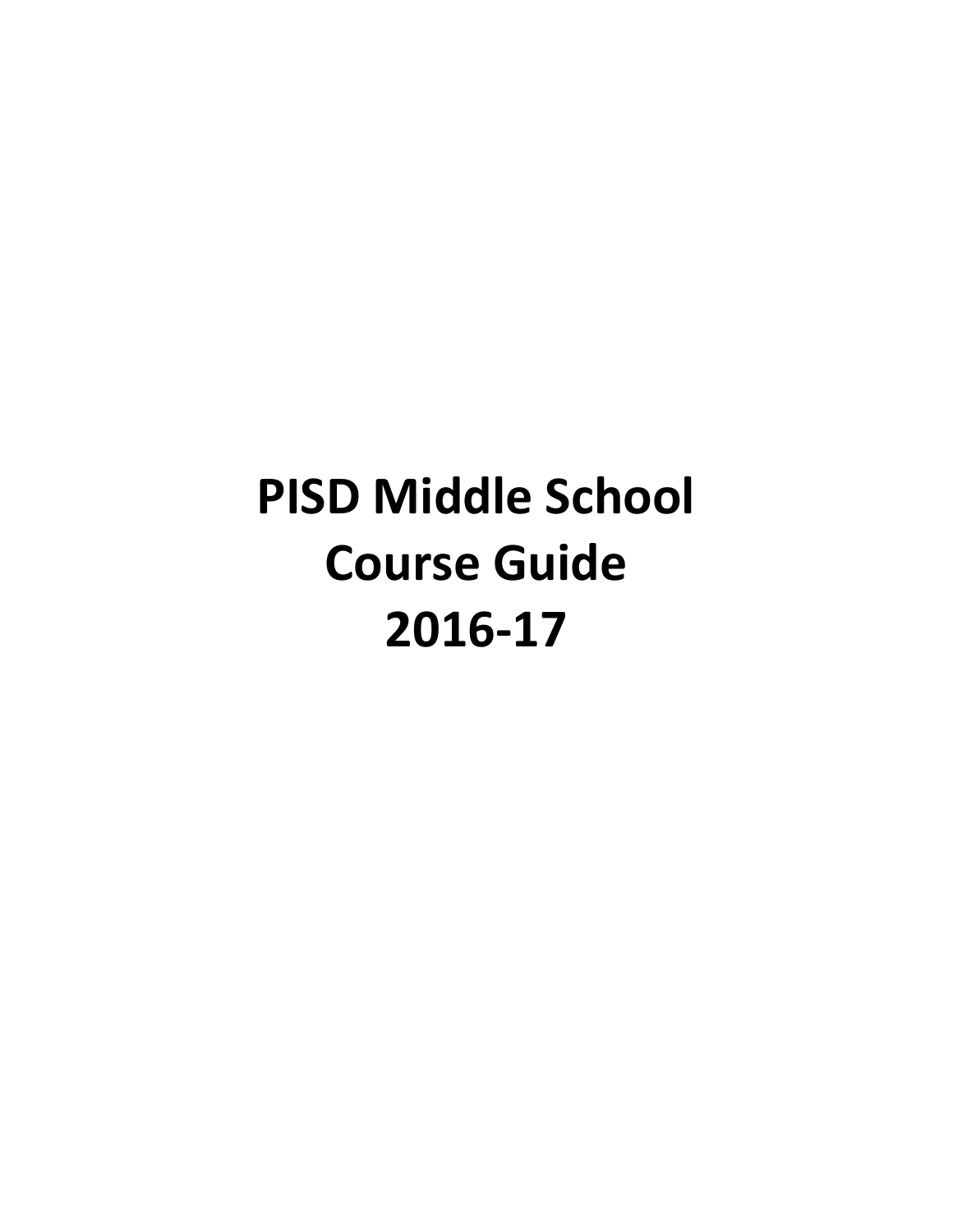# **PISD Middle School Course Guide 2016-17**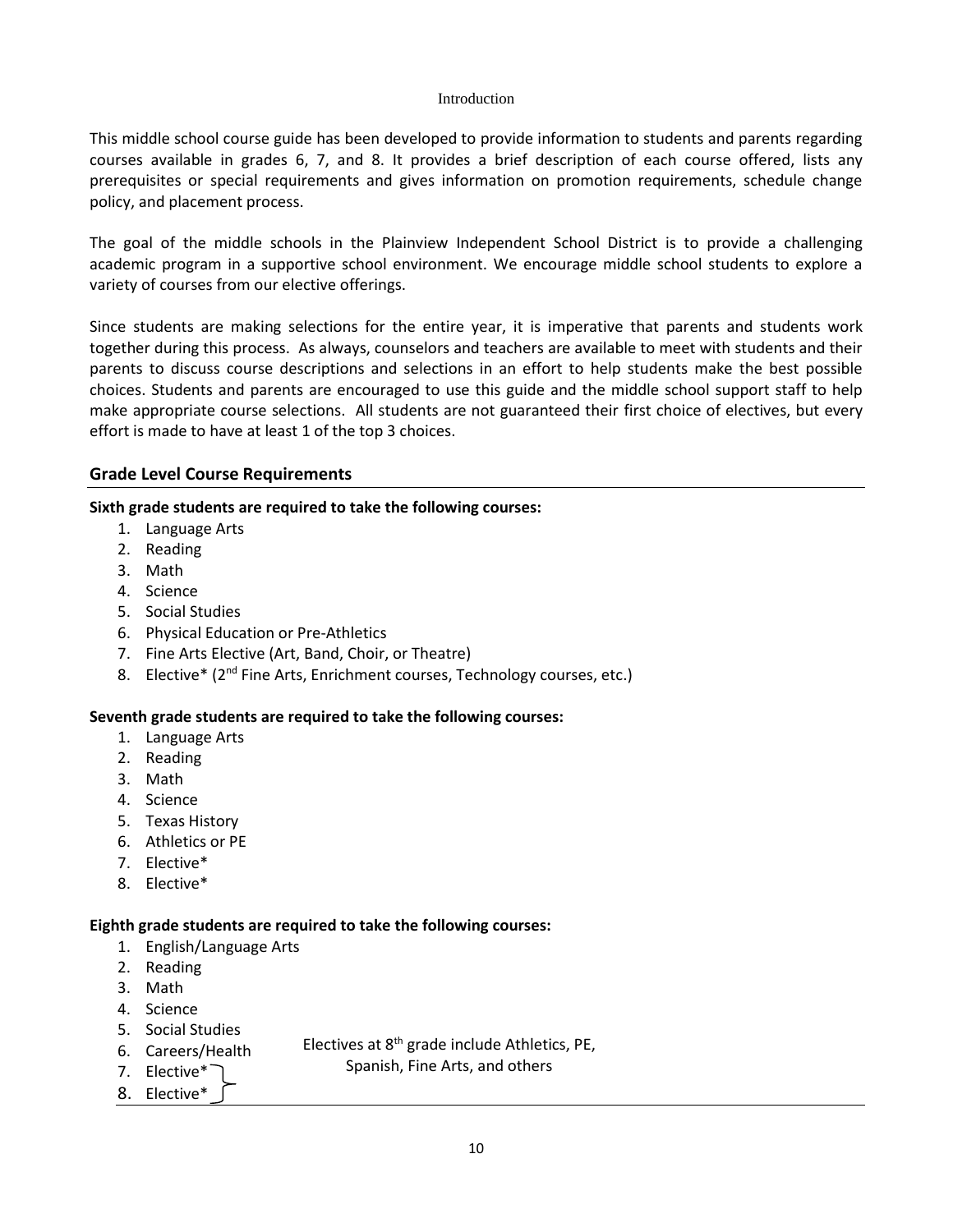#### Introduction

This middle school course guide has been developed to provide information to students and parents regarding courses available in grades 6, 7, and 8. It provides a brief description of each course offered, lists any prerequisites or special requirements and gives information on promotion requirements, schedule change policy, and placement process.

The goal of the middle schools in the Plainview Independent School District is to provide a challenging academic program in a supportive school environment. We encourage middle school students to explore a variety of courses from our elective offerings.

Since students are making selections for the entire year, it is imperative that parents and students work together during this process. As always, counselors and teachers are available to meet with students and their parents to discuss course descriptions and selections in an effort to help students make the best possible choices. Students and parents are encouraged to use this guide and the middle school support staff to help make appropriate course selections. All students are not guaranteed their first choice of electives, but every effort is made to have at least 1 of the top 3 choices.

## **Grade Level Course Requirements**

## **Sixth grade students are required to take the following courses:**

- 1. Language Arts
- 2. Reading
- 3. Math
- 4. Science
- 5. Social Studies
- 6. Physical Education or Pre-Athletics
- 7. Fine Arts Elective (Art, Band, Choir, or Theatre)
- 8. Elective\* (2<sup>nd</sup> Fine Arts, Enrichment courses, Technology courses, etc.)

#### **Seventh grade students are required to take the following courses:**

- 1. Language Arts
- 2. Reading
- 3. Math
- 4. Science
- 5. Texas History
- 6. Athletics or PE
- 7. Elective\*
- 8. Elective\*

#### **Eighth grade students are required to take the following courses:**

- 1. English/Language Arts
- 2. Reading
- 3. Math
- 4. Science
- 5. Social Studies
- 6. Careers/Health Electives at 8th grade include Athletics, PE,
- 7. Elective\* Spanish, Fine Arts, and others
- 8. Elective\*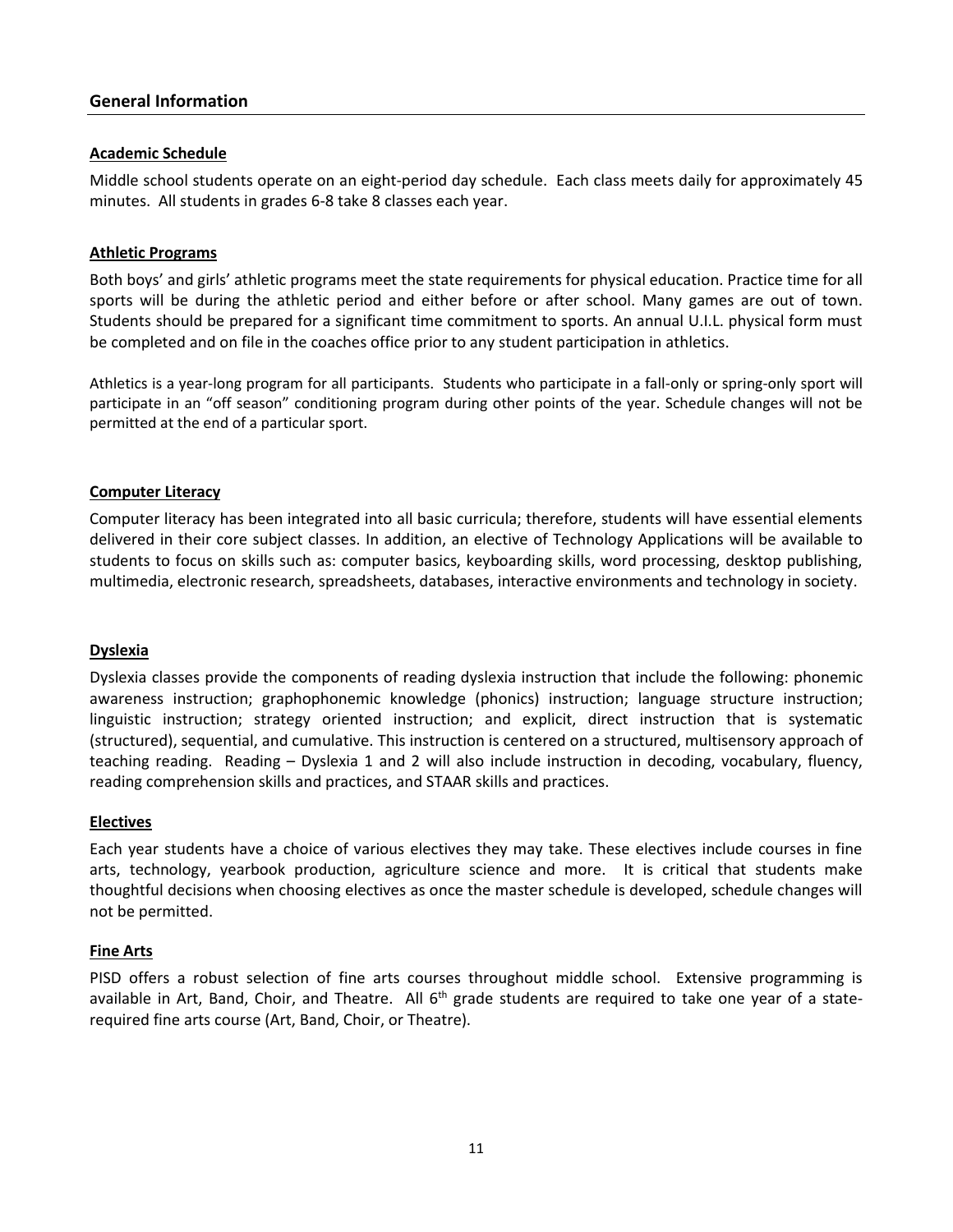## **General Information**

## **Academic Schedule**

Middle school students operate on an eight-period day schedule. Each class meets daily for approximately 45 minutes. All students in grades 6-8 take 8 classes each year.

#### **Athletic Programs**

Both boys' and girls' athletic programs meet the state requirements for physical education. Practice time for all sports will be during the athletic period and either before or after school. Many games are out of town. Students should be prepared for a significant time commitment to sports. An annual U.I.L. physical form must be completed and on file in the coaches office prior to any student participation in athletics.

Athletics is a year-long program for all participants. Students who participate in a fall-only or spring-only sport will participate in an "off season" conditioning program during other points of the year. Schedule changes will not be permitted at the end of a particular sport.

#### **Computer Literacy**

Computer literacy has been integrated into all basic curricula; therefore, students will have essential elements delivered in their core subject classes. In addition, an elective of Technology Applications will be available to students to focus on skills such as: computer basics, keyboarding skills, word processing, desktop publishing, multimedia, electronic research, spreadsheets, databases, interactive environments and technology in society.

#### **Dyslexia**

Dyslexia classes provide the components of reading dyslexia instruction that include the following: phonemic awareness instruction; graphophonemic knowledge (phonics) instruction; language structure instruction; linguistic instruction; strategy oriented instruction; and explicit, direct instruction that is systematic (structured), sequential, and cumulative. This instruction is centered on a structured, multisensory approach of teaching reading. Reading – Dyslexia 1 and 2 will also include instruction in decoding, vocabulary, fluency, reading comprehension skills and practices, and STAAR skills and practices.

#### **Electives**

Each year students have a choice of various electives they may take. These electives include courses in fine arts, technology, yearbook production, agriculture science and more. It is critical that students make thoughtful decisions when choosing electives as once the master schedule is developed, schedule changes will not be permitted.

#### **Fine Arts**

PISD offers a robust selection of fine arts courses throughout middle school. Extensive programming is available in Art, Band, Choir, and Theatre. All  $6<sup>th</sup>$  grade students are required to take one year of a staterequired fine arts course (Art, Band, Choir, or Theatre).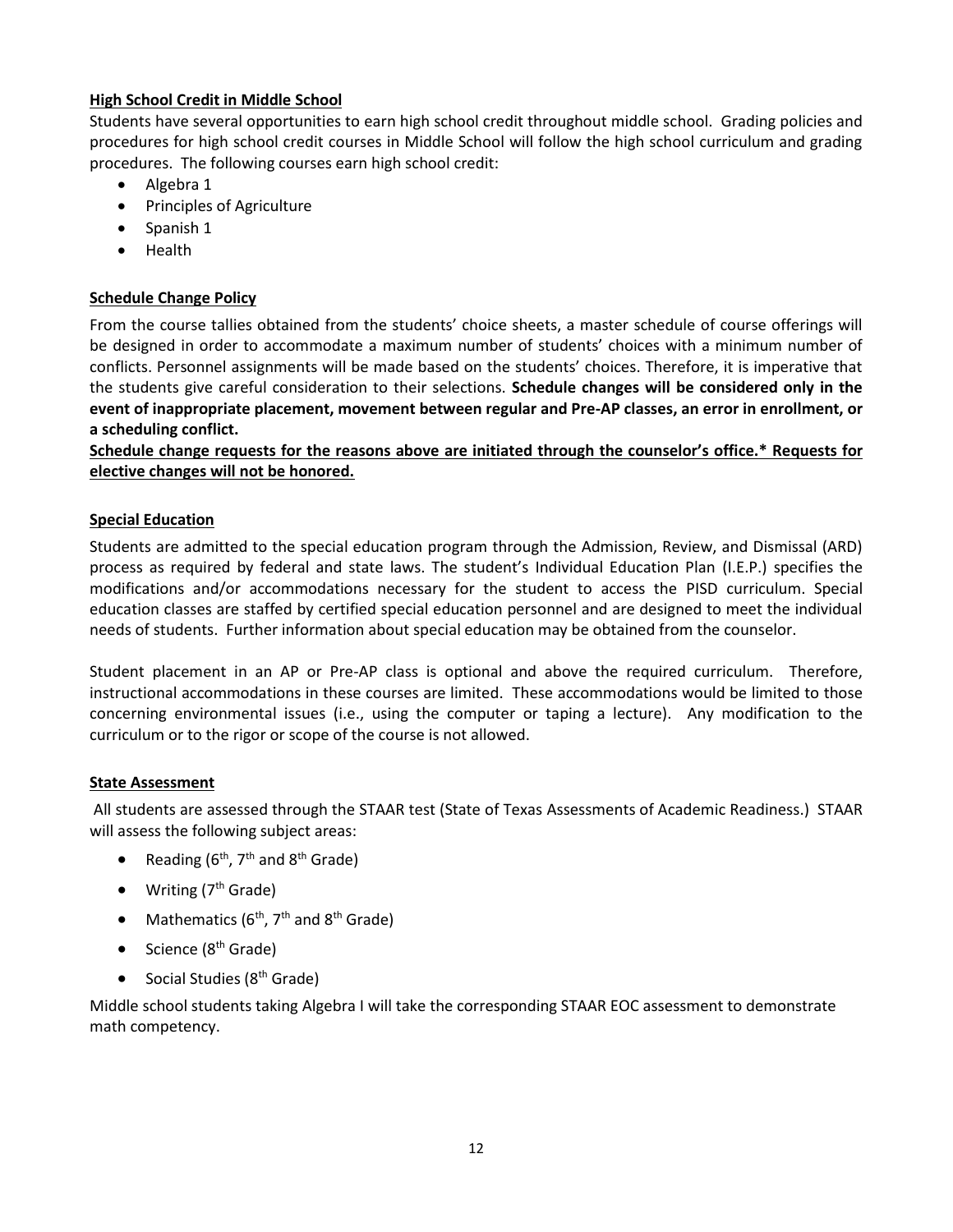## **High School Credit in Middle School**

Students have several opportunities to earn high school credit throughout middle school. Grading policies and procedures for high school credit courses in Middle School will follow the high school curriculum and grading procedures. The following courses earn high school credit:

- Algebra 1
- Principles of Agriculture
- Spanish 1
- Health

## **Schedule Change Policy**

From the course tallies obtained from the students' choice sheets, a master schedule of course offerings will be designed in order to accommodate a maximum number of students' choices with a minimum number of conflicts. Personnel assignments will be made based on the students' choices. Therefore, it is imperative that the students give careful consideration to their selections. **Schedule changes will be considered only in the event of inappropriate placement, movement between regular and Pre-AP classes, an error in enrollment, or a scheduling conflict.**

**Schedule change requests for the reasons above are initiated through the counselor's office.\* Requests for elective changes will not be honored.**

## **Special Education**

Students are admitted to the special education program through the Admission, Review, and Dismissal (ARD) process as required by federal and state laws. The student's Individual Education Plan (I.E.P.) specifies the modifications and/or accommodations necessary for the student to access the PISD curriculum. Special education classes are staffed by certified special education personnel and are designed to meet the individual needs of students. Further information about special education may be obtained from the counselor.

Student placement in an AP or Pre-AP class is optional and above the required curriculum. Therefore, instructional accommodations in these courses are limited. These accommodations would be limited to those concerning environmental issues (i.e., using the computer or taping a lecture). Any modification to the curriculum or to the rigor or scope of the course is not allowed.

## **State Assessment**

All students are assessed through the STAAR test (State of Texas Assessments of Academic Readiness.) STAAR will assess the following subject areas:

- Reading ( $6<sup>th</sup>$ ,  $7<sup>th</sup>$  and  $8<sup>th</sup>$  Grade)
- $\bullet$  Writing ( $7<sup>th</sup>$  Grade)
- Mathematics ( $6<sup>th</sup>$ , 7<sup>th</sup> and 8<sup>th</sup> Grade)
- $\bullet$  Science ( $8<sup>th</sup>$  Grade)
- Social Studies ( $8<sup>th</sup>$  Grade)

Middle school students taking Algebra I will take the corresponding STAAR EOC assessment to demonstrate math competency.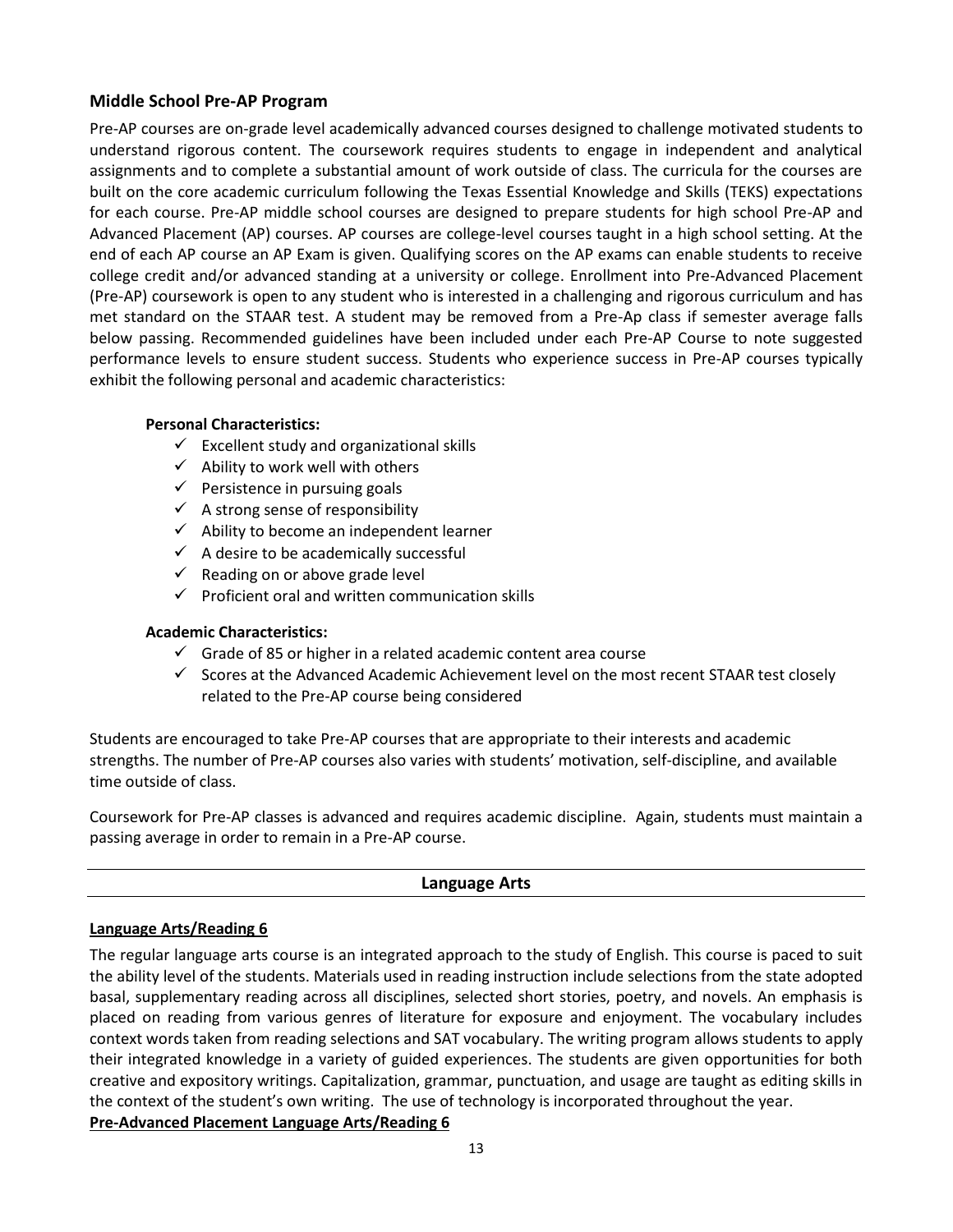## **Middle School Pre-AP Program**

Pre-AP courses are on-grade level academically advanced courses designed to challenge motivated students to understand rigorous content. The coursework requires students to engage in independent and analytical assignments and to complete a substantial amount of work outside of class. The curricula for the courses are built on the core academic curriculum following the Texas Essential Knowledge and Skills (TEKS) expectations for each course. Pre-AP middle school courses are designed to prepare students for high school Pre-AP and Advanced Placement (AP) courses. AP courses are college-level courses taught in a high school setting. At the end of each AP course an AP Exam is given. Qualifying scores on the AP exams can enable students to receive college credit and/or advanced standing at a university or college. Enrollment into Pre-Advanced Placement (Pre-AP) coursework is open to any student who is interested in a challenging and rigorous curriculum and has met standard on the STAAR test. A student may be removed from a Pre-Ap class if semester average falls below passing. Recommended guidelines have been included under each Pre-AP Course to note suggested performance levels to ensure student success. Students who experience success in Pre-AP courses typically exhibit the following personal and academic characteristics:

## **Personal Characteristics:**

- $\checkmark$  Excellent study and organizational skills
- $\checkmark$  Ability to work well with others
- $\checkmark$  Persistence in pursuing goals
- $\checkmark$  A strong sense of responsibility
- $\checkmark$  Ability to become an independent learner
- $\checkmark$  A desire to be academically successful
- $\checkmark$  Reading on or above grade level
- $\checkmark$  Proficient oral and written communication skills

## **Academic Characteristics:**

- $\checkmark$  Grade of 85 or higher in a related academic content area course
- $\checkmark$  Scores at the Advanced Academic Achievement level on the most recent STAAR test closely related to the Pre-AP course being considered

Students are encouraged to take Pre-AP courses that are appropriate to their interests and academic strengths. The number of Pre-AP courses also varies with students' motivation, self-discipline, and available time outside of class.

Coursework for Pre-AP classes is advanced and requires academic discipline. Again, students must maintain a passing average in order to remain in a Pre-AP course.

## **Language Arts**

## **Language Arts/Reading 6**

The regular language arts course is an integrated approach to the study of English. This course is paced to suit the ability level of the students. Materials used in reading instruction include selections from the state adopted basal, supplementary reading across all disciplines, selected short stories, poetry, and novels. An emphasis is placed on reading from various genres of literature for exposure and enjoyment. The vocabulary includes context words taken from reading selections and SAT vocabulary. The writing program allows students to apply their integrated knowledge in a variety of guided experiences. The students are given opportunities for both creative and expository writings. Capitalization, grammar, punctuation, and usage are taught as editing skills in the context of the student's own writing. The use of technology is incorporated throughout the year. **Pre-Advanced Placement Language Arts/Reading 6**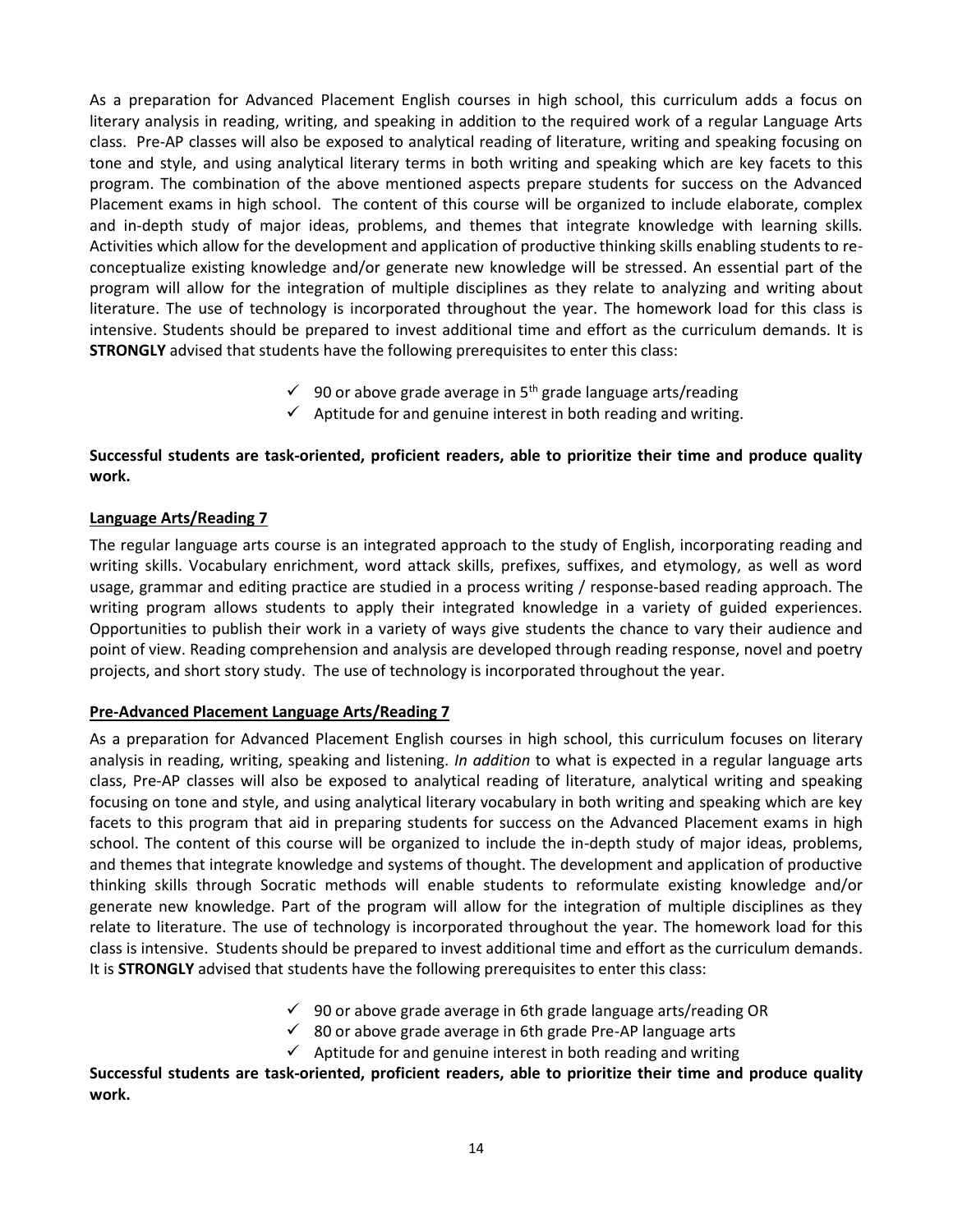As a preparation for Advanced Placement English courses in high school, this curriculum adds a focus on literary analysis in reading, writing, and speaking in addition to the required work of a regular Language Arts class. Pre-AP classes will also be exposed to analytical reading of literature, writing and speaking focusing on tone and style, and using analytical literary terms in both writing and speaking which are key facets to this program. The combination of the above mentioned aspects prepare students for success on the Advanced Placement exams in high school. The content of this course will be organized to include elaborate, complex and in-depth study of major ideas, problems, and themes that integrate knowledge with learning skills. Activities which allow for the development and application of productive thinking skills enabling students to reconceptualize existing knowledge and/or generate new knowledge will be stressed. An essential part of the program will allow for the integration of multiple disciplines as they relate to analyzing and writing about literature. The use of technology is incorporated throughout the year. The homework load for this class is intensive. Students should be prepared to invest additional time and effort as the curriculum demands. It is **STRONGLY** advised that students have the following prerequisites to enter this class:

- $\checkmark$  90 or above grade average in 5<sup>th</sup> grade language arts/reading
- $\checkmark$  Aptitude for and genuine interest in both reading and writing.

## **Successful students are task-oriented, proficient readers, able to prioritize their time and produce quality work.**

## **Language Arts/Reading 7**

The regular language arts course is an integrated approach to the study of English, incorporating reading and writing skills. Vocabulary enrichment, word attack skills, prefixes, suffixes, and etymology, as well as word usage, grammar and editing practice are studied in a process writing / response-based reading approach. The writing program allows students to apply their integrated knowledge in a variety of guided experiences. Opportunities to publish their work in a variety of ways give students the chance to vary their audience and point of view. Reading comprehension and analysis are developed through reading response, novel and poetry projects, and short story study. The use of technology is incorporated throughout the year.

## **Pre-Advanced Placement Language Arts/Reading 7**

As a preparation for Advanced Placement English courses in high school, this curriculum focuses on literary analysis in reading, writing, speaking and listening. *In addition* to what is expected in a regular language arts class, Pre-AP classes will also be exposed to analytical reading of literature, analytical writing and speaking focusing on tone and style, and using analytical literary vocabulary in both writing and speaking which are key facets to this program that aid in preparing students for success on the Advanced Placement exams in high school. The content of this course will be organized to include the in-depth study of major ideas, problems, and themes that integrate knowledge and systems of thought. The development and application of productive thinking skills through Socratic methods will enable students to reformulate existing knowledge and/or generate new knowledge. Part of the program will allow for the integration of multiple disciplines as they relate to literature. The use of technology is incorporated throughout the year. The homework load for this class is intensive. Students should be prepared to invest additional time and effort as the curriculum demands. It is **STRONGLY** advised that students have the following prerequisites to enter this class:

- $\checkmark$  90 or above grade average in 6th grade language arts/reading OR
- $\checkmark$  80 or above grade average in 6th grade Pre-AP language arts
- $\checkmark$  Aptitude for and genuine interest in both reading and writing

**Successful students are task-oriented, proficient readers, able to prioritize their time and produce quality work.**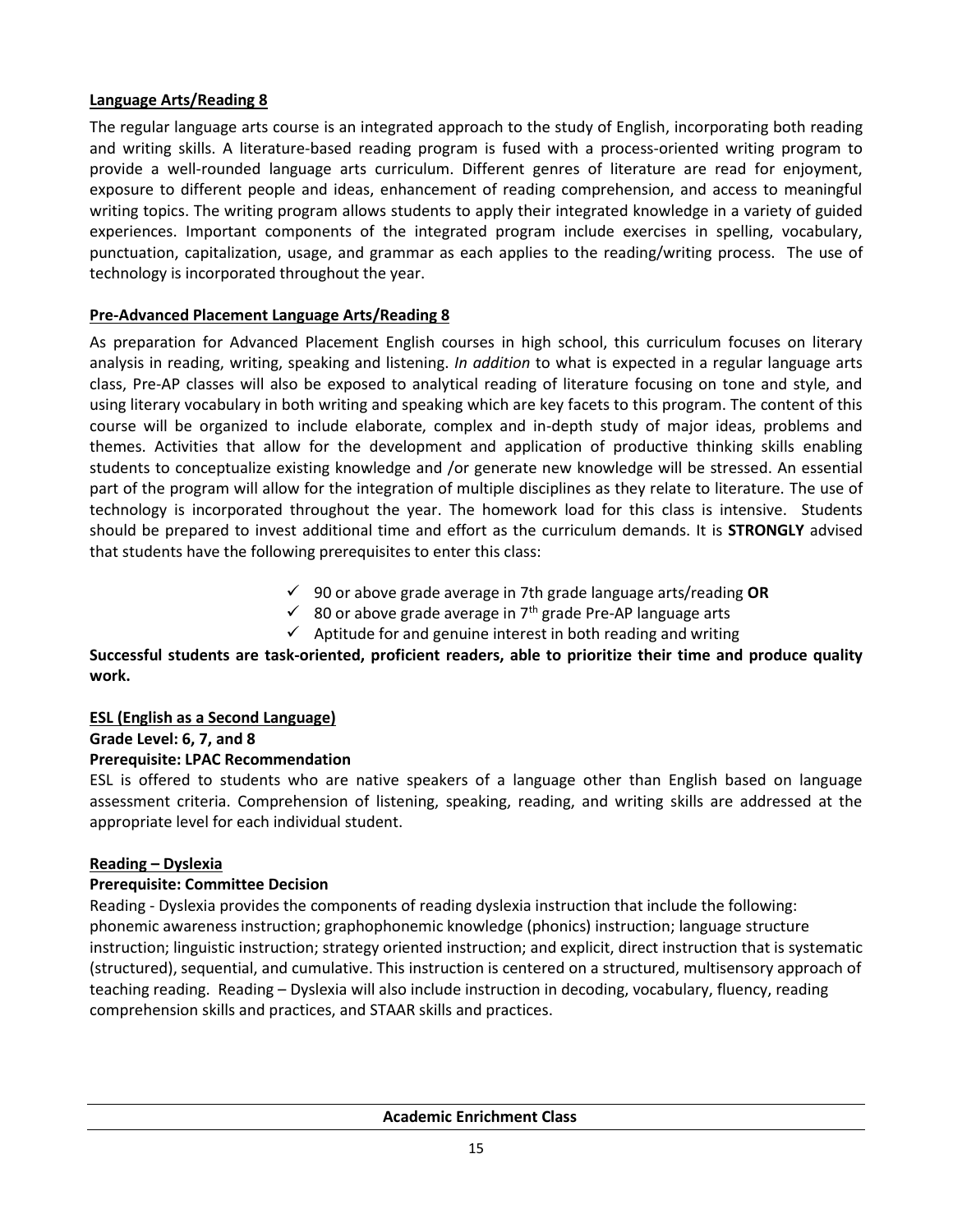## **Language Arts/Reading 8**

The regular language arts course is an integrated approach to the study of English, incorporating both reading and writing skills. A literature-based reading program is fused with a process-oriented writing program to provide a well-rounded language arts curriculum. Different genres of literature are read for enjoyment, exposure to different people and ideas, enhancement of reading comprehension, and access to meaningful writing topics. The writing program allows students to apply their integrated knowledge in a variety of guided experiences. Important components of the integrated program include exercises in spelling, vocabulary, punctuation, capitalization, usage, and grammar as each applies to the reading/writing process. The use of technology is incorporated throughout the year.

## **Pre-Advanced Placement Language Arts/Reading 8**

As preparation for Advanced Placement English courses in high school, this curriculum focuses on literary analysis in reading, writing, speaking and listening. *In addition* to what is expected in a regular language arts class, Pre-AP classes will also be exposed to analytical reading of literature focusing on tone and style, and using literary vocabulary in both writing and speaking which are key facets to this program. The content of this course will be organized to include elaborate, complex and in-depth study of major ideas, problems and themes. Activities that allow for the development and application of productive thinking skills enabling students to conceptualize existing knowledge and /or generate new knowledge will be stressed. An essential part of the program will allow for the integration of multiple disciplines as they relate to literature. The use of technology is incorporated throughout the year. The homework load for this class is intensive. Students should be prepared to invest additional time and effort as the curriculum demands. It is **STRONGLY** advised that students have the following prerequisites to enter this class:

- 90 or above grade average in 7th grade language arts/reading **OR**
- $\checkmark$  80 or above grade average in 7<sup>th</sup> grade Pre-AP language arts
- $\checkmark$  Aptitude for and genuine interest in both reading and writing

## **Successful students are task-oriented, proficient readers, able to prioritize their time and produce quality work.**

## **ESL (English as a Second Language)**

**Grade Level: 6, 7, and 8**

## **Prerequisite: LPAC Recommendation**

ESL is offered to students who are native speakers of a language other than English based on language assessment criteria. Comprehension of listening, speaking, reading, and writing skills are addressed at the appropriate level for each individual student.

## **Reading – Dyslexia**

## **Prerequisite: Committee Decision**

Reading - Dyslexia provides the components of reading dyslexia instruction that include the following: phonemic awareness instruction; graphophonemic knowledge (phonics) instruction; language structure instruction; linguistic instruction; strategy oriented instruction; and explicit, direct instruction that is systematic (structured), sequential, and cumulative. This instruction is centered on a structured, multisensory approach of teaching reading. Reading – Dyslexia will also include instruction in decoding, vocabulary, fluency, reading comprehension skills and practices, and STAAR skills and practices.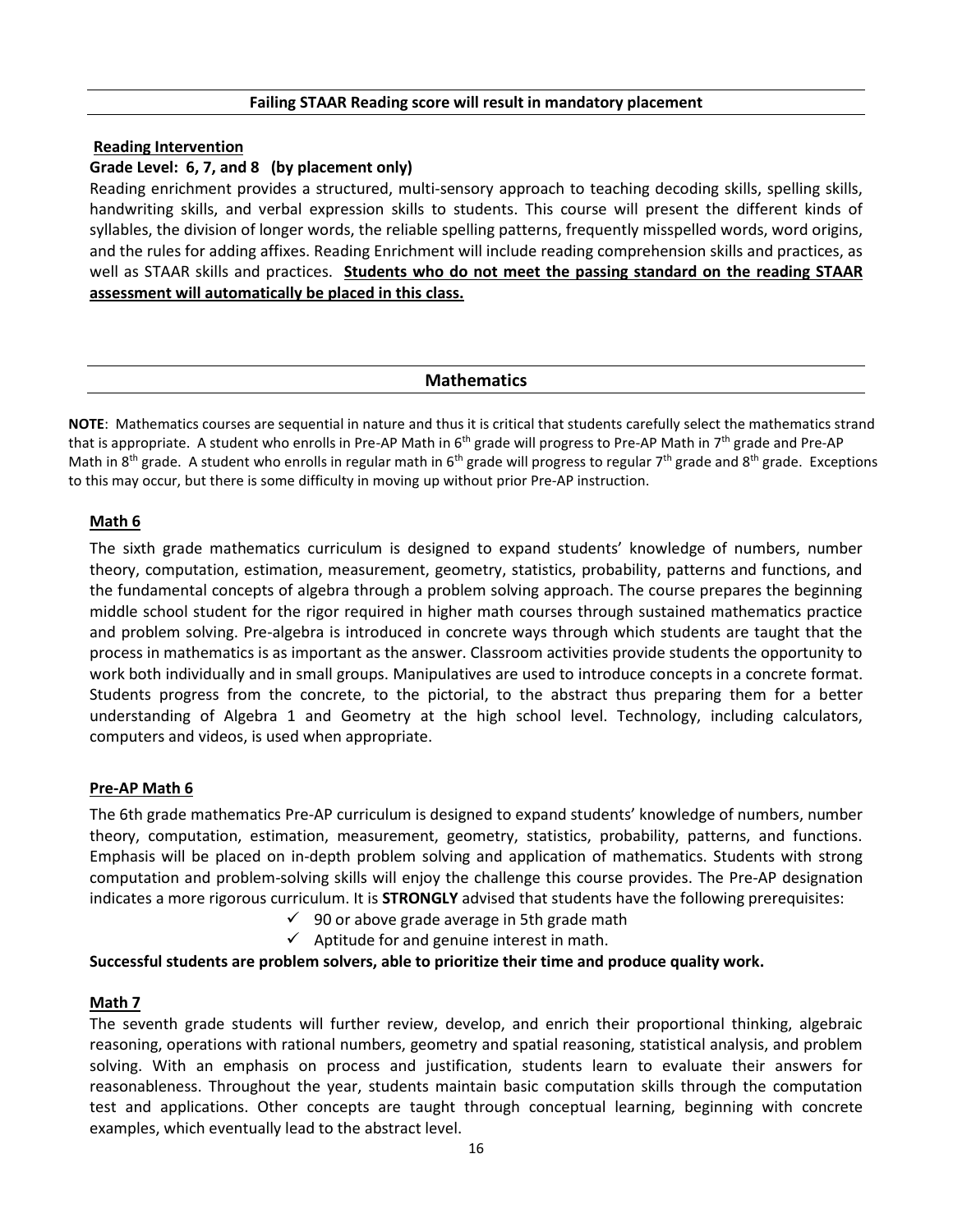#### **Failing STAAR Reading score will result in mandatory placement**

#### **Reading Intervention**

## **Grade Level: 6, 7, and 8 (by placement only)**

Reading enrichment provides a structured, multi-sensory approach to teaching decoding skills, spelling skills, handwriting skills, and verbal expression skills to students. This course will present the different kinds of syllables, the division of longer words, the reliable spelling patterns, frequently misspelled words, word origins, and the rules for adding affixes. Reading Enrichment will include reading comprehension skills and practices, as well as STAAR skills and practices. **Students who do not meet the passing standard on the reading STAAR assessment will automatically be placed in this class.**

## **Mathematics**

**NOTE**: Mathematics courses are sequential in nature and thus it is critical that students carefully select the mathematics strand that is appropriate. A student who enrolls in Pre-AP Math in 6<sup>th</sup> grade will progress to Pre-AP Math in 7<sup>th</sup> grade and Pre-AP Math in 8<sup>th</sup> grade. A student who enrolls in regular math in 6<sup>th</sup> grade will progress to regular 7<sup>th</sup> grade and 8<sup>th</sup> grade. Exceptions to this may occur, but there is some difficulty in moving up without prior Pre-AP instruction.

## **Math 6**

The sixth grade mathematics curriculum is designed to expand students' knowledge of numbers, number theory, computation, estimation, measurement, geometry, statistics, probability, patterns and functions, and the fundamental concepts of algebra through a problem solving approach. The course prepares the beginning middle school student for the rigor required in higher math courses through sustained mathematics practice and problem solving. Pre-algebra is introduced in concrete ways through which students are taught that the process in mathematics is as important as the answer. Classroom activities provide students the opportunity to work both individually and in small groups. Manipulatives are used to introduce concepts in a concrete format. Students progress from the concrete, to the pictorial, to the abstract thus preparing them for a better understanding of Algebra 1 and Geometry at the high school level. Technology, including calculators, computers and videos, is used when appropriate.

## **Pre-AP Math 6**

The 6th grade mathematics Pre-AP curriculum is designed to expand students' knowledge of numbers, number theory, computation, estimation, measurement, geometry, statistics, probability, patterns, and functions. Emphasis will be placed on in-depth problem solving and application of mathematics. Students with strong computation and problem-solving skills will enjoy the challenge this course provides. The Pre-AP designation indicates a more rigorous curriculum. It is **STRONGLY** advised that students have the following prerequisites:

- $\checkmark$  90 or above grade average in 5th grade math
- $\checkmark$  Aptitude for and genuine interest in math.

## **Successful students are problem solvers, able to prioritize their time and produce quality work.**

## **Math 7**

The seventh grade students will further review, develop, and enrich their proportional thinking, algebraic reasoning, operations with rational numbers, geometry and spatial reasoning, statistical analysis, and problem solving. With an emphasis on process and justification, students learn to evaluate their answers for reasonableness. Throughout the year, students maintain basic computation skills through the computation test and applications. Other concepts are taught through conceptual learning, beginning with concrete examples, which eventually lead to the abstract level.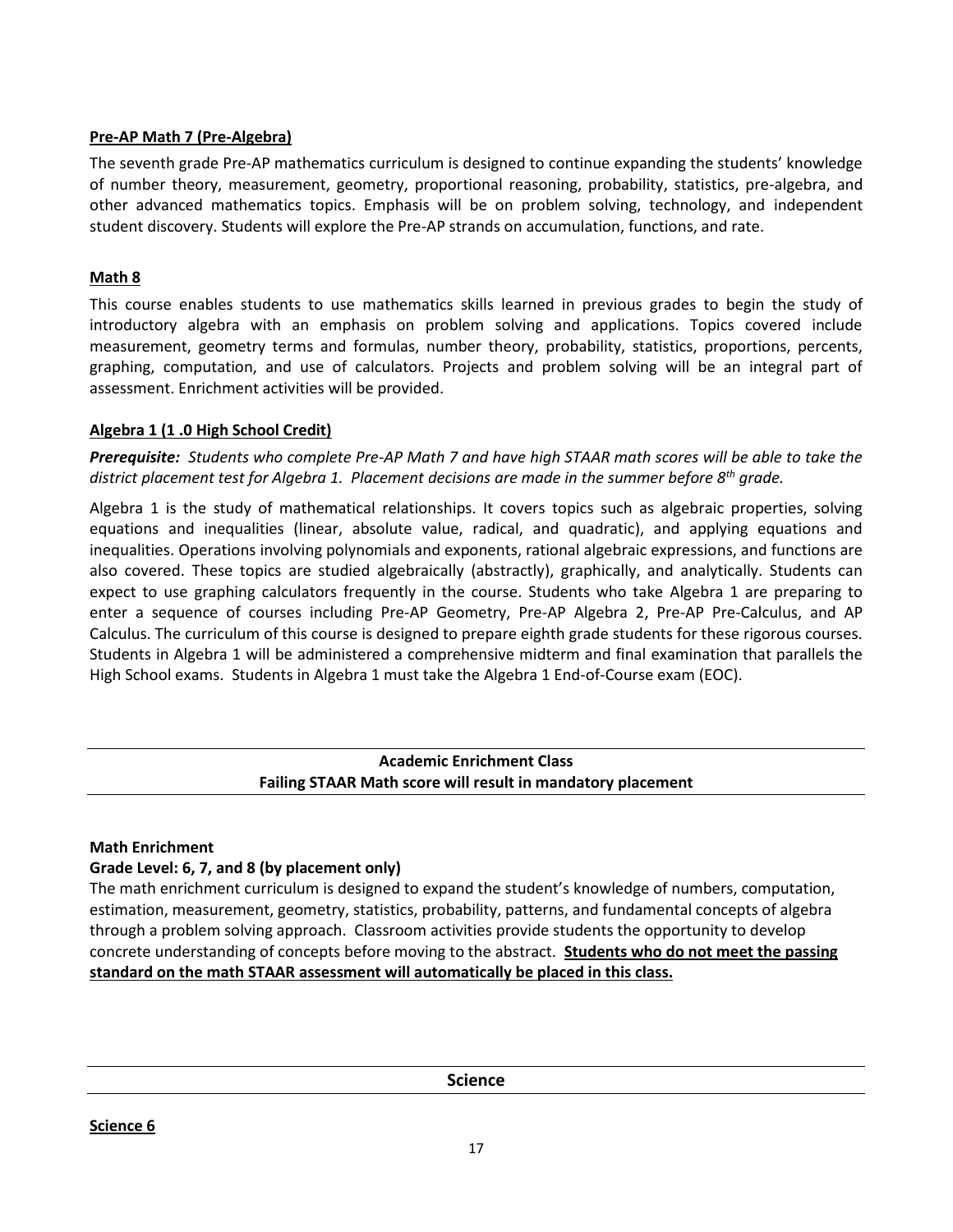## **Pre-AP Math 7 (Pre-Algebra)**

The seventh grade Pre-AP mathematics curriculum is designed to continue expanding the students' knowledge of number theory, measurement, geometry, proportional reasoning, probability, statistics, pre-algebra, and other advanced mathematics topics. Emphasis will be on problem solving, technology, and independent student discovery. Students will explore the Pre-AP strands on accumulation, functions, and rate.

## **Math 8**

This course enables students to use mathematics skills learned in previous grades to begin the study of introductory algebra with an emphasis on problem solving and applications. Topics covered include measurement, geometry terms and formulas, number theory, probability, statistics, proportions, percents, graphing, computation, and use of calculators. Projects and problem solving will be an integral part of assessment. Enrichment activities will be provided.

## **Algebra 1 (1 .0 High School Credit)**

*Prerequisite: Students who complete Pre-AP Math 7 and have high STAAR math scores will be able to take the district placement test for Algebra 1. Placement decisions are made in the summer before 8th grade.*

Algebra 1 is the study of mathematical relationships. It covers topics such as algebraic properties, solving equations and inequalities (linear, absolute value, radical, and quadratic), and applying equations and inequalities. Operations involving polynomials and exponents, rational algebraic expressions, and functions are also covered. These topics are studied algebraically (abstractly), graphically, and analytically. Students can expect to use graphing calculators frequently in the course. Students who take Algebra 1 are preparing to enter a sequence of courses including Pre-AP Geometry, Pre-AP Algebra 2, Pre-AP Pre-Calculus, and AP Calculus. The curriculum of this course is designed to prepare eighth grade students for these rigorous courses. Students in Algebra 1 will be administered a comprehensive midterm and final examination that parallels the High School exams. Students in Algebra 1 must take the Algebra 1 End-of-Course exam (EOC).

## **Academic Enrichment Class Failing STAAR Math score will result in mandatory placement**

## **Math Enrichment**

## **Grade Level: 6, 7, and 8 (by placement only)**

The math enrichment curriculum is designed to expand the student's knowledge of numbers, computation, estimation, measurement, geometry, statistics, probability, patterns, and fundamental concepts of algebra through a problem solving approach. Classroom activities provide students the opportunity to develop concrete understanding of concepts before moving to the abstract. **Students who do not meet the passing standard on the math STAAR assessment will automatically be placed in this class.**

**Science**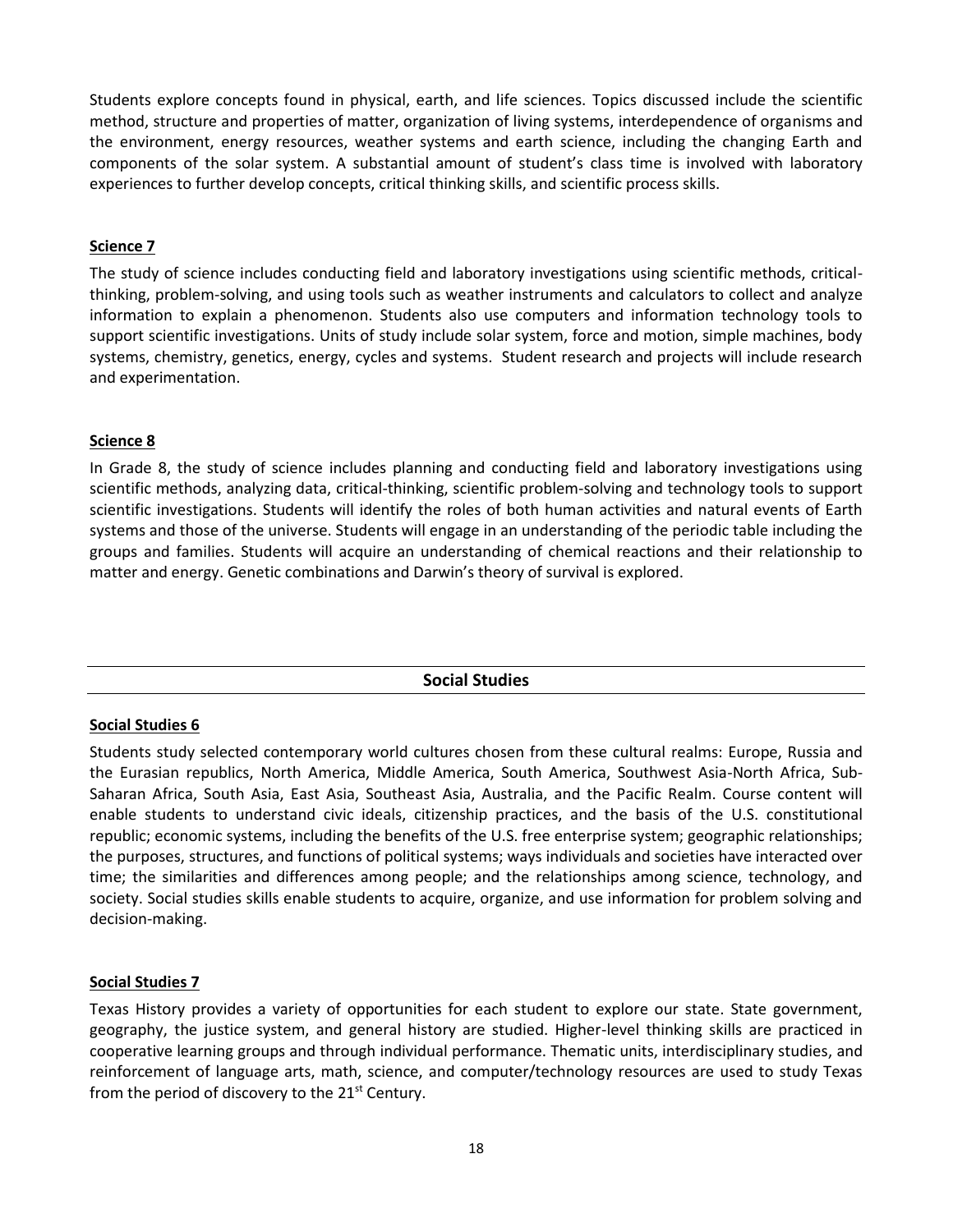Students explore concepts found in physical, earth, and life sciences. Topics discussed include the scientific method, structure and properties of matter, organization of living systems, interdependence of organisms and the environment, energy resources, weather systems and earth science, including the changing Earth and components of the solar system. A substantial amount of student's class time is involved with laboratory experiences to further develop concepts, critical thinking skills, and scientific process skills.

## **Science 7**

The study of science includes conducting field and laboratory investigations using scientific methods, criticalthinking, problem-solving, and using tools such as weather instruments and calculators to collect and analyze information to explain a phenomenon. Students also use computers and information technology tools to support scientific investigations. Units of study include solar system, force and motion, simple machines, body systems, chemistry, genetics, energy, cycles and systems. Student research and projects will include research and experimentation.

## **Science 8**

In Grade 8, the study of science includes planning and conducting field and laboratory investigations using scientific methods, analyzing data, critical-thinking, scientific problem-solving and technology tools to support scientific investigations. Students will identify the roles of both human activities and natural events of Earth systems and those of the universe. Students will engage in an understanding of the periodic table including the groups and families. Students will acquire an understanding of chemical reactions and their relationship to matter and energy. Genetic combinations and Darwin's theory of survival is explored.

## **Social Studies**

## **Social Studies 6**

Students study selected contemporary world cultures chosen from these cultural realms: Europe, Russia and the Eurasian republics, North America, Middle America, South America, Southwest Asia-North Africa, Sub-Saharan Africa, South Asia, East Asia, Southeast Asia, Australia, and the Pacific Realm. Course content will enable students to understand civic ideals, citizenship practices, and the basis of the U.S. constitutional republic; economic systems, including the benefits of the U.S. free enterprise system; geographic relationships; the purposes, structures, and functions of political systems; ways individuals and societies have interacted over time; the similarities and differences among people; and the relationships among science, technology, and society. Social studies skills enable students to acquire, organize, and use information for problem solving and decision-making.

## **Social Studies 7**

Texas History provides a variety of opportunities for each student to explore our state. State government, geography, the justice system, and general history are studied. Higher-level thinking skills are practiced in cooperative learning groups and through individual performance. Thematic units, interdisciplinary studies, and reinforcement of language arts, math, science, and computer/technology resources are used to study Texas from the period of discovery to the  $21^{st}$  Century.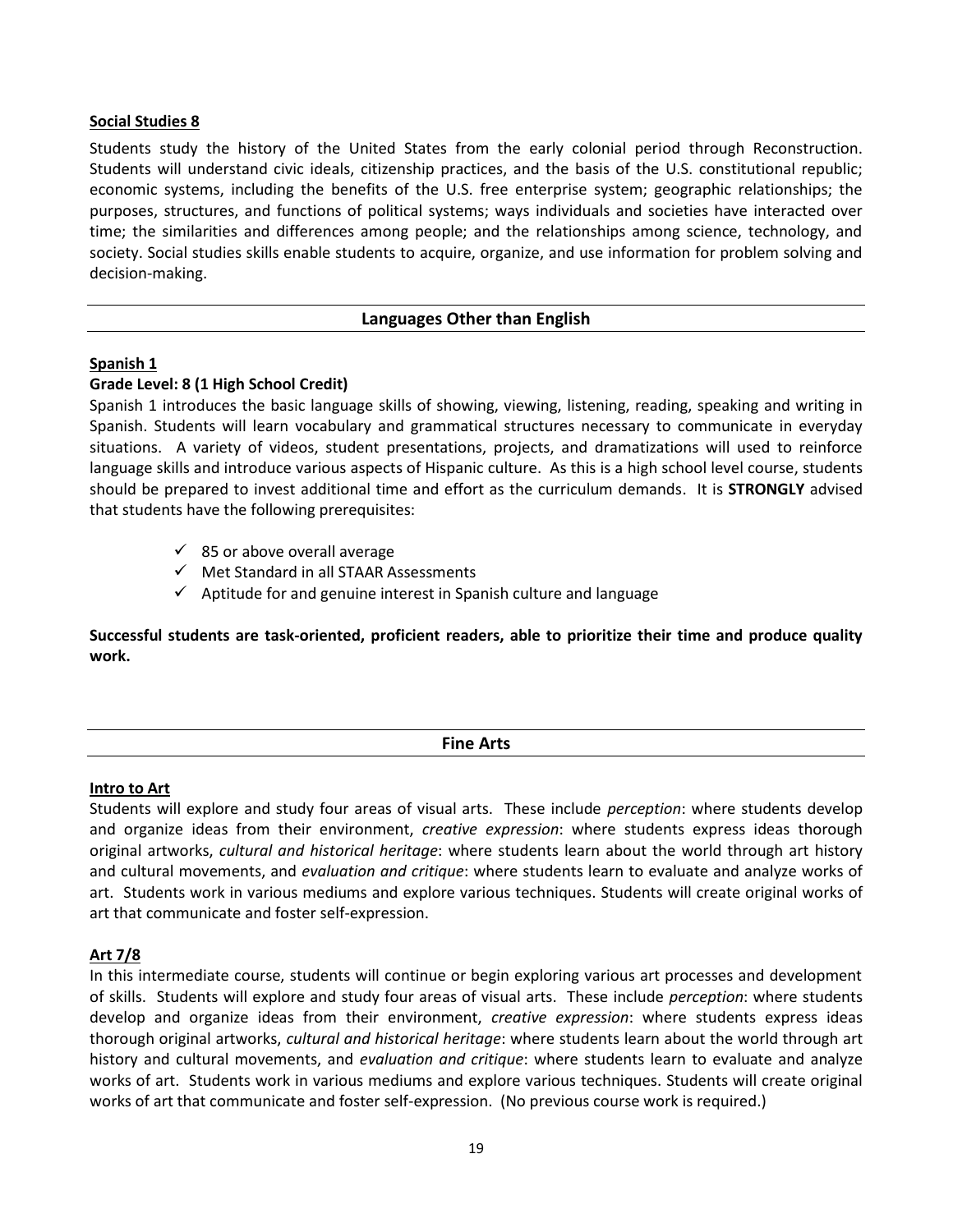## **Social Studies 8**

Students study the history of the United States from the early colonial period through Reconstruction. Students will understand civic ideals, citizenship practices, and the basis of the U.S. constitutional republic; economic systems, including the benefits of the U.S. free enterprise system; geographic relationships; the purposes, structures, and functions of political systems; ways individuals and societies have interacted over time; the similarities and differences among people; and the relationships among science, technology, and society. Social studies skills enable students to acquire, organize, and use information for problem solving and decision-making.

#### **Languages Other than English**

#### **Spanish 1**

#### **Grade Level: 8 (1 High School Credit)**

Spanish 1 introduces the basic language skills of showing, viewing, listening, reading, speaking and writing in Spanish. Students will learn vocabulary and grammatical structures necessary to communicate in everyday situations. A variety of videos, student presentations, projects, and dramatizations will used to reinforce language skills and introduce various aspects of Hispanic culture. As this is a high school level course, students should be prepared to invest additional time and effort as the curriculum demands. It is **STRONGLY** advised that students have the following prerequisites:

- $\checkmark$  85 or above overall average
- $\checkmark$  Met Standard in all STAAR Assessments
- $\checkmark$  Aptitude for and genuine interest in Spanish culture and language

**Successful students are task-oriented, proficient readers, able to prioritize their time and produce quality work.** 

| <b>Sing Arts</b><br><br>. |  |
|---------------------------|--|
| ______                    |  |

#### **Intro to Art**

Students will explore and study four areas of visual arts. These include *perception*: where students develop and organize ideas from their environment, *creative expression*: where students express ideas thorough original artworks, *cultural and historical heritage*: where students learn about the world through art history and cultural movements, and *evaluation and critique*: where students learn to evaluate and analyze works of art. Students work in various mediums and explore various techniques. Students will create original works of art that communicate and foster self-expression.

## **Art 7/8**

In this intermediate course, students will continue or begin exploring various art processes and development of skills. Students will explore and study four areas of visual arts. These include *perception*: where students develop and organize ideas from their environment, *creative expression*: where students express ideas thorough original artworks, *cultural and historical heritage*: where students learn about the world through art history and cultural movements, and *evaluation and critique*: where students learn to evaluate and analyze works of art. Students work in various mediums and explore various techniques. Students will create original works of art that communicate and foster self-expression. (No previous course work is required.)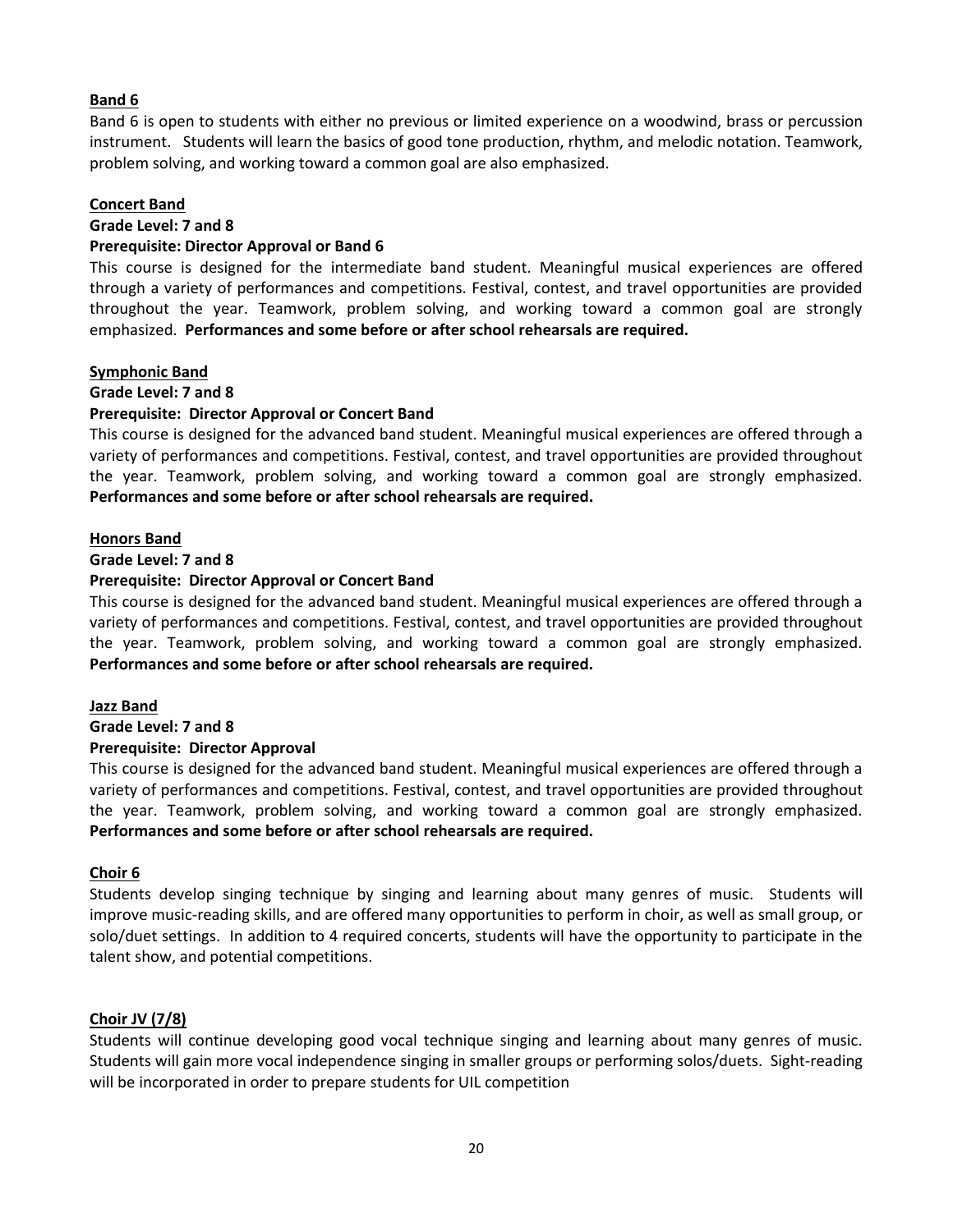## **Band 6**

Band 6 is open to students with either no previous or limited experience on a woodwind, brass or percussion instrument. Students will learn the basics of good tone production, rhythm, and melodic notation. Teamwork, problem solving, and working toward a common goal are also emphasized.

## **Concert Band**

## **Grade Level: 7 and 8**

## **Prerequisite: Director Approval or Band 6**

This course is designed for the intermediate band student. Meaningful musical experiences are offered through a variety of performances and competitions. Festival, contest, and travel opportunities are provided throughout the year. Teamwork, problem solving, and working toward a common goal are strongly emphasized. **Performances and some before or after school rehearsals are required.**

## **Symphonic Band**

## **Grade Level: 7 and 8**

## **Prerequisite: Director Approval or Concert Band**

This course is designed for the advanced band student. Meaningful musical experiences are offered through a variety of performances and competitions. Festival, contest, and travel opportunities are provided throughout the year. Teamwork, problem solving, and working toward a common goal are strongly emphasized. **Performances and some before or after school rehearsals are required.**

## **Honors Band**

## **Grade Level: 7 and 8**

## **Prerequisite: Director Approval or Concert Band**

This course is designed for the advanced band student. Meaningful musical experiences are offered through a variety of performances and competitions. Festival, contest, and travel opportunities are provided throughout the year. Teamwork, problem solving, and working toward a common goal are strongly emphasized. **Performances and some before or after school rehearsals are required.**

## **Jazz Band**

## **Grade Level: 7 and 8**

## **Prerequisite: Director Approval**

This course is designed for the advanced band student. Meaningful musical experiences are offered through a variety of performances and competitions. Festival, contest, and travel opportunities are provided throughout the year. Teamwork, problem solving, and working toward a common goal are strongly emphasized. **Performances and some before or after school rehearsals are required.**

## **Choir 6**

Students develop singing technique by singing and learning about many genres of music. Students will improve music-reading skills, and are offered many opportunities to perform in choir, as well as small group, or solo/duet settings. In addition to 4 required concerts, students will have the opportunity to participate in the talent show, and potential competitions.

## **Choir JV (7/8)**

Students will continue developing good vocal technique singing and learning about many genres of music. Students will gain more vocal independence singing in smaller groups or performing solos/duets. Sight-reading will be incorporated in order to prepare students for UIL competition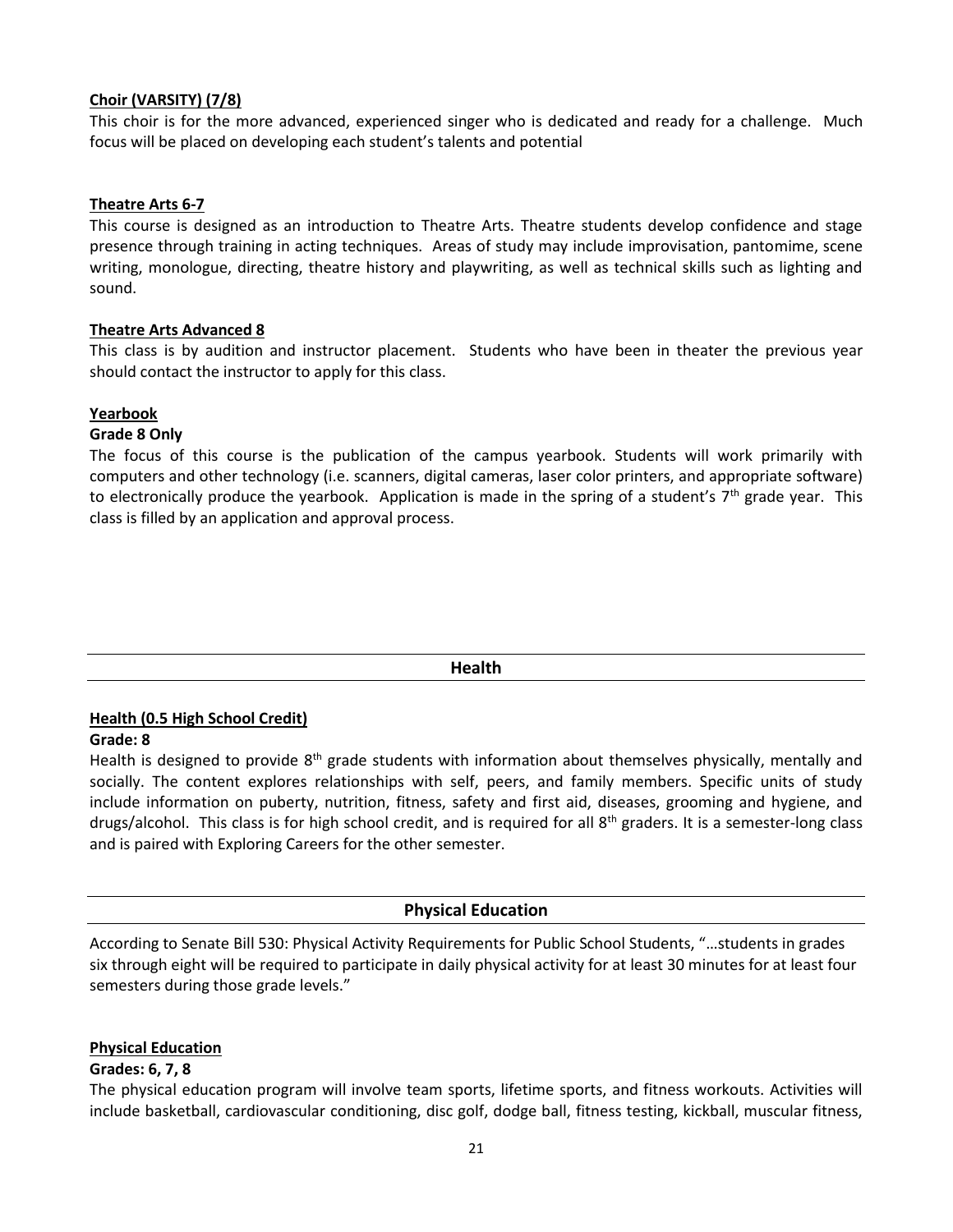## **Choir (VARSITY) (7/8)**

This choir is for the more advanced, experienced singer who is dedicated and ready for a challenge. Much focus will be placed on developing each student's talents and potential

## **Theatre Arts 6-7**

This course is designed as an introduction to Theatre Arts. Theatre students develop confidence and stage presence through training in acting techniques. Areas of study may include improvisation, pantomime, scene writing, monologue, directing, theatre history and playwriting, as well as technical skills such as lighting and sound.

## **Theatre Arts Advanced 8**

This class is by audition and instructor placement. Students who have been in theater the previous year should contact the instructor to apply for this class.

## **Yearbook**

## **Grade 8 Only**

The focus of this course is the publication of the campus yearbook. Students will work primarily with computers and other technology (i.e. scanners, digital cameras, laser color printers, and appropriate software) to electronically produce the yearbook. Application is made in the spring of a student's  $7<sup>th</sup>$  grade year. This class is filled by an application and approval process.

| <b>Health</b> |  |
|---------------|--|
|               |  |

## **Health (0.5 High School Credit)**

## **Grade: 8**

Health is designed to provide 8<sup>th</sup> grade students with information about themselves physically, mentally and socially. The content explores relationships with self, peers, and family members. Specific units of study include information on puberty, nutrition, fitness, safety and first aid, diseases, grooming and hygiene, and drugs/alcohol. This class is for high school credit, and is required for all 8th graders. It is a semester-long class and is paired with Exploring Careers for the other semester.

## **Physical Education**

According to Senate Bill 530: Physical Activity Requirements for Public School Students, "…students in grades six through eight will be required to participate in daily physical activity for at least 30 minutes for at least four semesters during those grade levels."

## **Physical Education**

## **Grades: 6, 7, 8**

The physical education program will involve team sports, lifetime sports, and fitness workouts. Activities will include basketball, cardiovascular conditioning, disc golf, dodge ball, fitness testing, kickball, muscular fitness,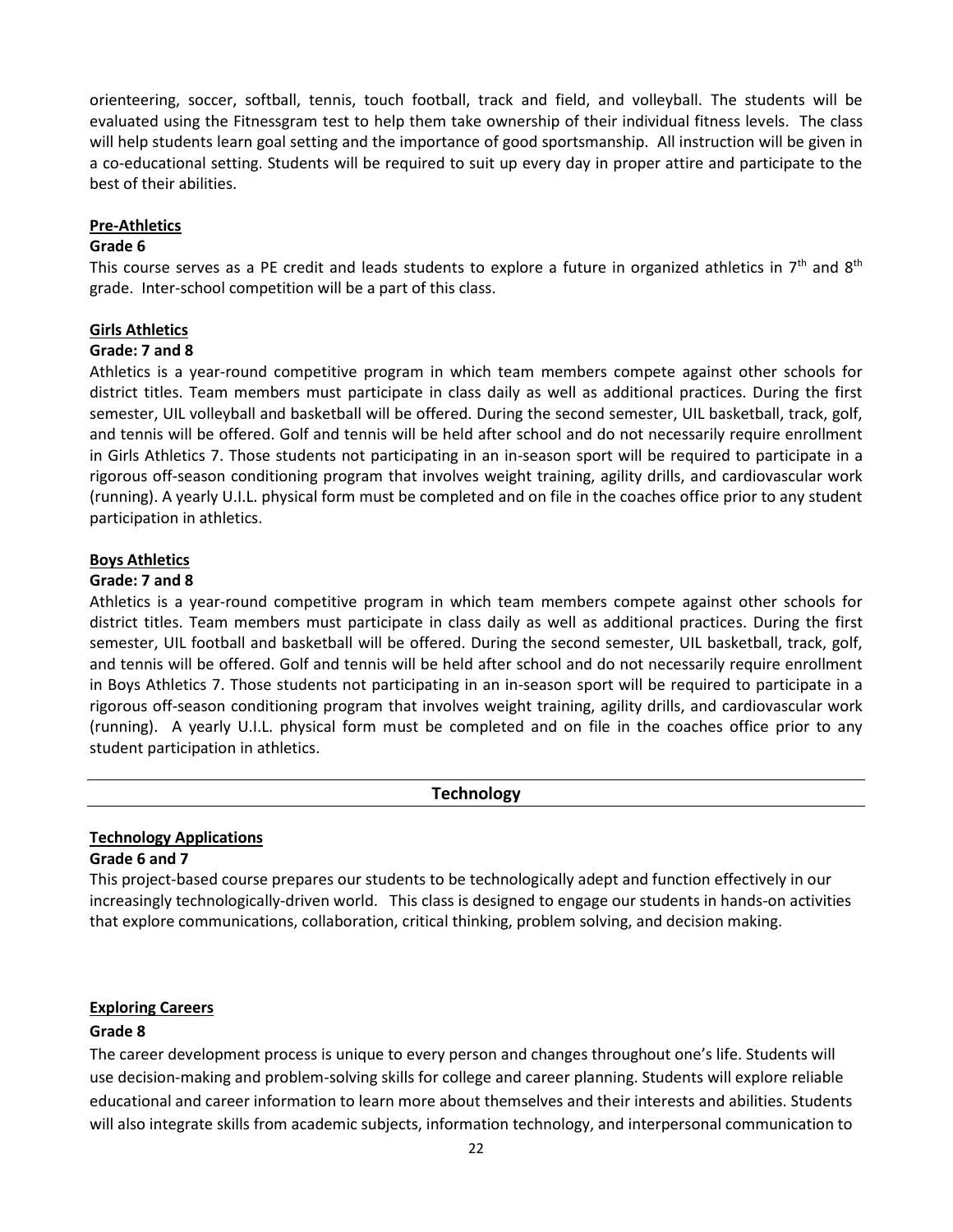orienteering, soccer, softball, tennis, touch football, track and field, and volleyball. The students will be evaluated using the Fitnessgram test to help them take ownership of their individual fitness levels. The class will help students learn goal setting and the importance of good sportsmanship. All instruction will be given in a co-educational setting. Students will be required to suit up every day in proper attire and participate to the best of their abilities.

#### **Pre-Athletics**

#### **Grade 6**

This course serves as a PE credit and leads students to explore a future in organized athletics in  $7<sup>th</sup>$  and  $8<sup>th</sup>$ grade. Inter-school competition will be a part of this class.

## **Girls Athletics**

## **Grade: 7 and 8**

Athletics is a year-round competitive program in which team members compete against other schools for district titles. Team members must participate in class daily as well as additional practices. During the first semester, UIL volleyball and basketball will be offered. During the second semester, UIL basketball, track, golf, and tennis will be offered. Golf and tennis will be held after school and do not necessarily require enrollment in Girls Athletics 7. Those students not participating in an in-season sport will be required to participate in a rigorous off-season conditioning program that involves weight training, agility drills, and cardiovascular work (running). A yearly U.I.L. physical form must be completed and on file in the coaches office prior to any student participation in athletics.

## **Boys Athletics**

## **Grade: 7 and 8**

Athletics is a year-round competitive program in which team members compete against other schools for district titles. Team members must participate in class daily as well as additional practices. During the first semester, UIL football and basketball will be offered. During the second semester, UIL basketball, track, golf, and tennis will be offered. Golf and tennis will be held after school and do not necessarily require enrollment in Boys Athletics 7. Those students not participating in an in-season sport will be required to participate in a rigorous off-season conditioning program that involves weight training, agility drills, and cardiovascular work (running). A yearly U.I.L. physical form must be completed and on file in the coaches office prior to any student participation in athletics.

## **Technology**

#### **Technology Applications Grade 6 and 7**

This project-based course prepares our students to be technologically adept and function effectively in our increasingly technologically-driven world. This class is designed to engage our students in hands-on activities that explore communications, collaboration, critical thinking, problem solving, and decision making.

## **Exploring Careers**

## **Grade 8**

The career development process is unique to every person and changes throughout one's life. Students will use decision-making and problem-solving skills for college and career planning. Students will explore reliable educational and career information to learn more about themselves and their interests and abilities. Students will also integrate skills from academic subjects, information technology, and interpersonal communication to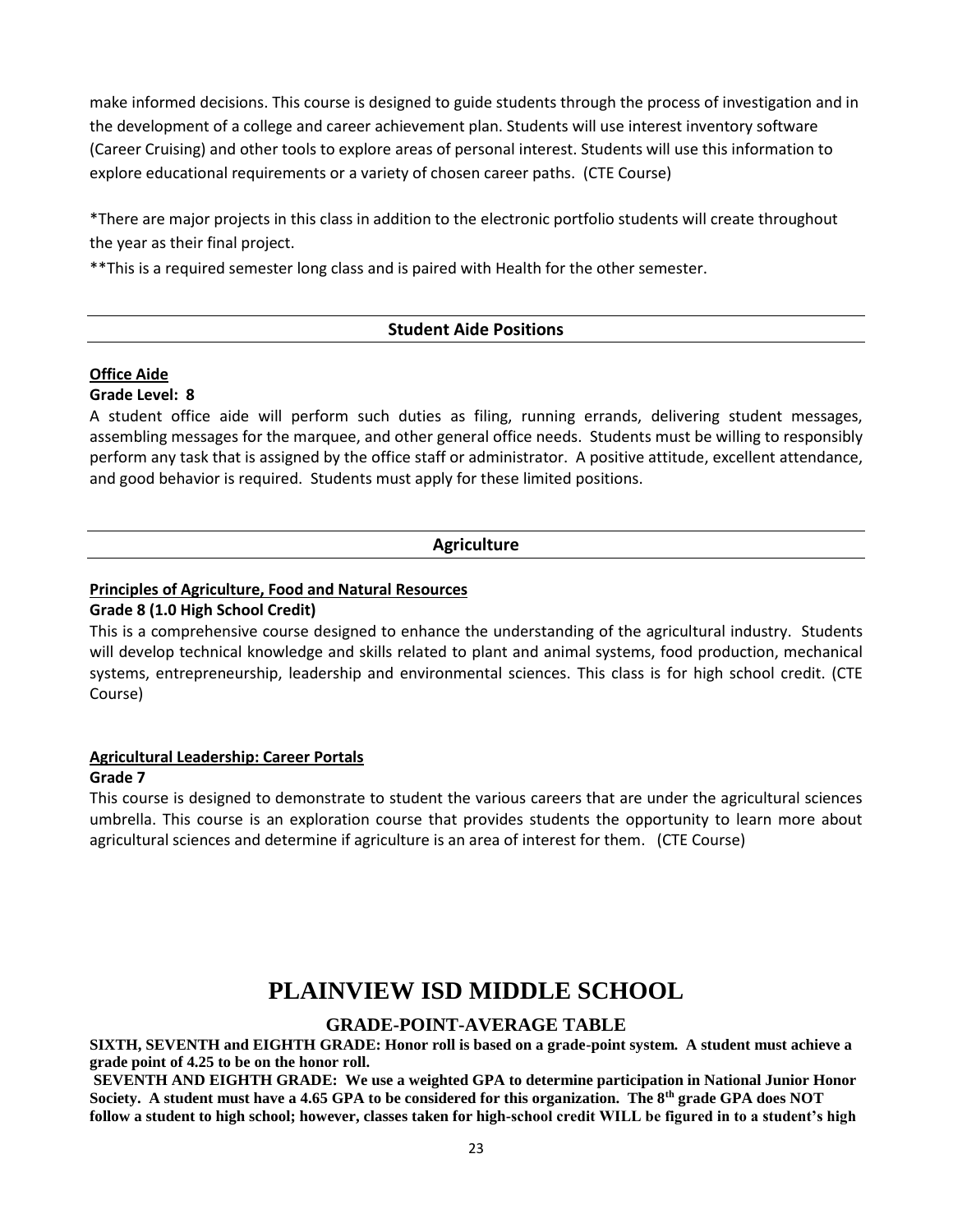make informed decisions. This course is designed to guide students through the process of investigation and in the development of a college and career achievement plan. Students will use interest inventory software (Career Cruising) and other tools to explore areas of personal interest. Students will use this information to explore educational requirements or a variety of chosen career paths. (CTE Course)

\*There are major projects in this class in addition to the electronic portfolio students will create throughout the year as their final project.

\*\*This is a required semester long class and is paired with Health for the other semester.

## **Student Aide Positions**

#### **Office Aide Grade Level: 8**

A student office aide will perform such duties as filing, running errands, delivering student messages, assembling messages for the marquee, and other general office needs. Students must be willing to responsibly perform any task that is assigned by the office staff or administrator. A positive attitude, excellent attendance, and good behavior is required. Students must apply for these limited positions.

## **Agriculture**

## **Principles of Agriculture, Food and Natural Resources**

### **Grade 8 (1.0 High School Credit)**

This is a comprehensive course designed to enhance the understanding of the agricultural industry. Students will develop technical knowledge and skills related to plant and animal systems, food production, mechanical systems, entrepreneurship, leadership and environmental sciences. This class is for high school credit. (CTE Course)

## **Agricultural Leadership: Career Portals**

#### **Grade 7**

This course is designed to demonstrate to student the various careers that are under the agricultural sciences umbrella. This course is an exploration course that provides students the opportunity to learn more about agricultural sciences and determine if agriculture is an area of interest for them. (CTE Course)

## **PLAINVIEW ISD MIDDLE SCHOOL**

## **GRADE-POINT-AVERAGE TABLE**

**SIXTH, SEVENTH and EIGHTH GRADE: Honor roll is based on a grade-point system. A student must achieve a grade point of 4.25 to be on the honor roll.**

**SEVENTH AND EIGHTH GRADE: We use a weighted GPA to determine participation in National Junior Honor Society. A student must have a 4.65 GPA to be considered for this organization. The 8th grade GPA does NOT follow a student to high school; however, classes taken for high-school credit WILL be figured in to a student's high**